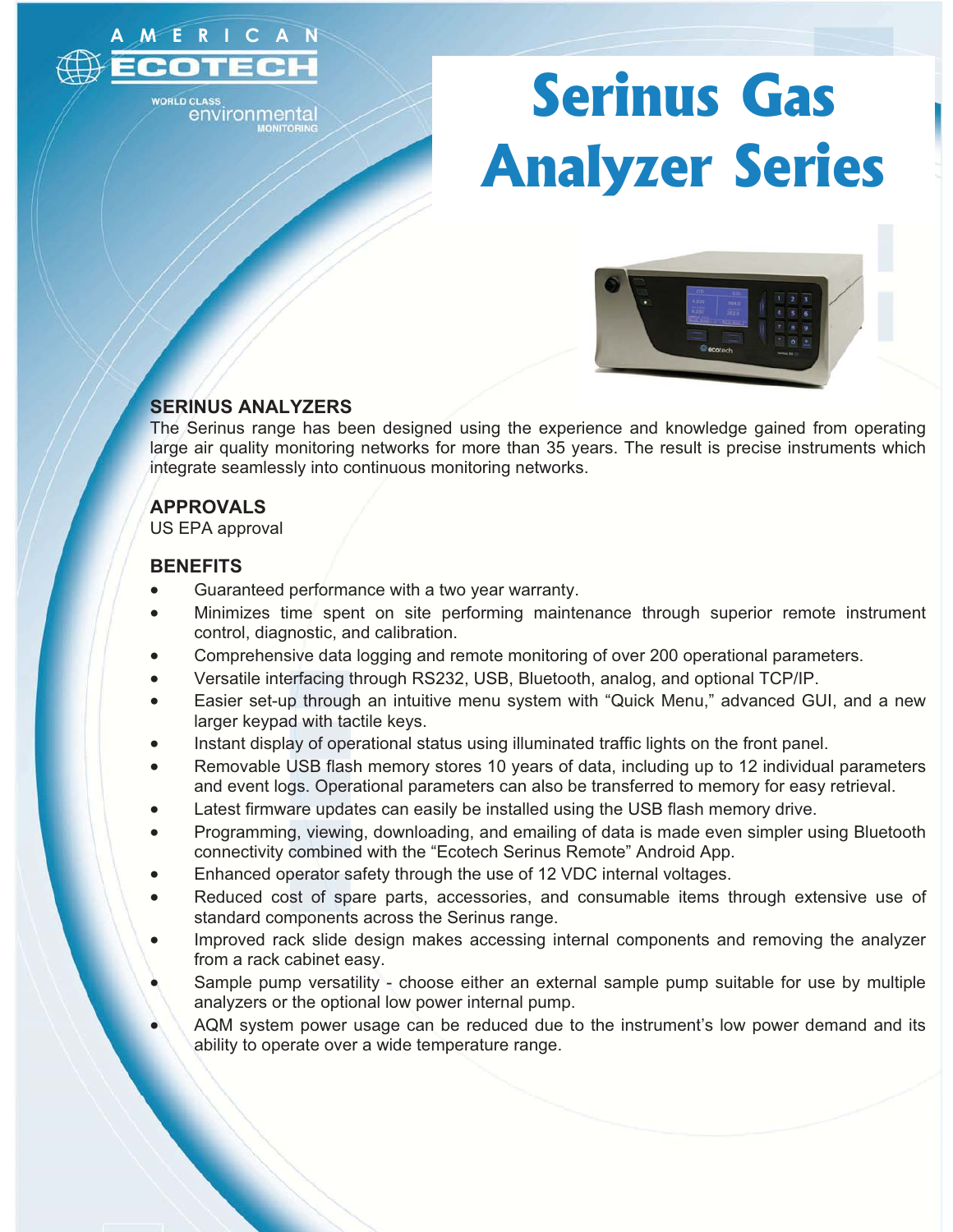

environmenta

# **Serinus Gas Analyzer Series**



## **SERINUS ANALYZERS**

The Serinus range has been designed using the experience and knowledge gained from operating large air quality monitoring networks for more than 35 years. The result is precise instruments which integrate seamlessly into continuous monitoring networks.

# **APPROVALS**

US EPA approval

## **BENEFITS**

- $\bullet$ Guaranteed performance with a two year warranty.
- - Minimizes time spent on site performing maintenance through superior remote instrument control, diagnostic, and calibration.
- -Comprehensive data logging and remote monitoring of over 200 operational parameters.
- -Versatile interfacing through RS232, USB, Bluetooth, analog, and optional TCP/IP.
- - Easier set-up through an intuitive menu system with "Quick Menu," advanced GUI, and a new larger keypad with tactile keys.
- -Instant display of operational status using illuminated traffic lights on the front panel.
- - Removable USB flash memory stores 10 years of data, including up to 12 individual parameters and event logs. Operational parameters can also be transferred to memory for easy retrieval.
- -Latest firmware updates can easily be installed using the USB flash memory drive.
- - Programming, viewing, downloading, and emailing of data is made even simpler using Bluetooth connectivity combined with the "Ecotech Serinus Remote" Android App.
- -Enhanced operator safety through the use of 12 VDC internal voltages.
- - Reduced cost of spare parts, accessories, and consumable items through extensive use of standard components across the Serinus range.
- - Improved rack slide design makes accessing internal components and removing the analyzer from a rack cabinet easy.
- - Sample pump versatility - choose either an external sample pump suitable for use by multiple analyzers or the optional low power internal pump.
- - AQM system power usage can be reduced due to the instrument's low power demand and its ability to operate over a wide temperature range.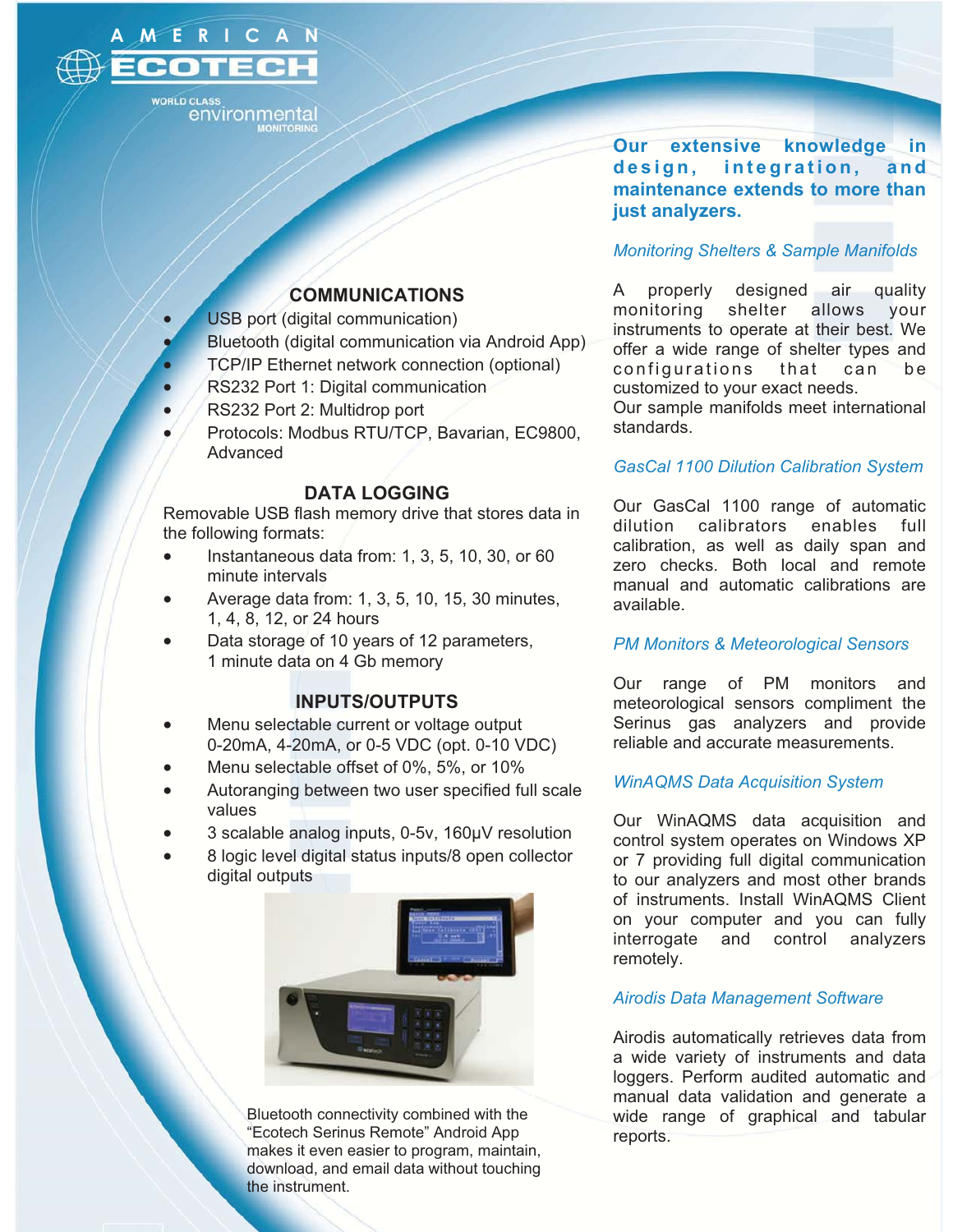

environmenta

### **COMMUNICATIONS**

- -USB port (digital communication)
- -Bluetooth (digital communication via Android App)
- -TCP/IP Ethernet network connection (optional)
- -RS232 Port 1: Digital communication
- -RS232 Port 2: Multidrop port
- - Protocols: Modbus RTU/TCP, Bavarian, EC9800, Advanced

#### **DATA LOGGING**

Removable USB flash memory drive that stores data in the following formats:

- $\bullet$  Instantaneous data from: 1, 3, 5, 10, 30, or 60 minute intervals
- - Average data from: 1, 3, 5, 10, 15, 30 minutes, 1, 4, 8, 12, or 24 hours
- - Data storage of 10 years of 12 parameters, 1 minute data on 4 Gb memory

# **INPUTS/OUTPUTS**

- - Menu selectable current or voltage output 0-20mA, 4-20mA, or 0-5 VDC (opt. 0-10 VDC)
- -Menu selectable offset of 0%, 5%, or 10%
- - Autoranging between two user specified full scale values
- -3 scalable analog inputs, 0-5v, 160μV resolution
- - 8 logic level digital status inputs/8 open collector digital outputs



Bluetooth connectivity combined with the "Ecotech Serinus Remote" Android App makes it even easier to program, maintain, download, and email data without touching the instrument.

**Our extensive knowledge in**  design, integration, and **maintenance extends to more than just analyzers.** 

#### *Monitoring Shelters & Sample Manifolds*

A properly designed air quality monitoring shelter allows your instruments to operate at their best. We offer a wide range of shelter types and configurations that can be customized to your exact needs.

Our sample manifolds meet international standards.

#### *GasCal 1100 Dilution Calibration System*

Our GasCal 1100 range of automatic dilution calibrators enables full calibration, as well as daily span and zero checks. Both local and remote manual and automatic calibrations are available.

#### *PM Monitors & Meteorological Sensors*

Our range of PM monitors and meteorological sensors compliment the Serinus gas analyzers and provide reliable and accurate measurements.

#### *WinAQMS Data Acquisition System*

Our WinAQMS data acquisition and control system operates on Windows XP or 7 providing full digital communication to our analyzers and most other brands of instruments. Install WinAQMS Client on your computer and you can fully interrogate and control analyzers remotely.

#### *Airodis Data Management Software*

Airodis automatically retrieves data from a wide variety of instruments and data loggers. Perform audited automatic and manual data validation and generate a wide range of graphical and tabular reports.